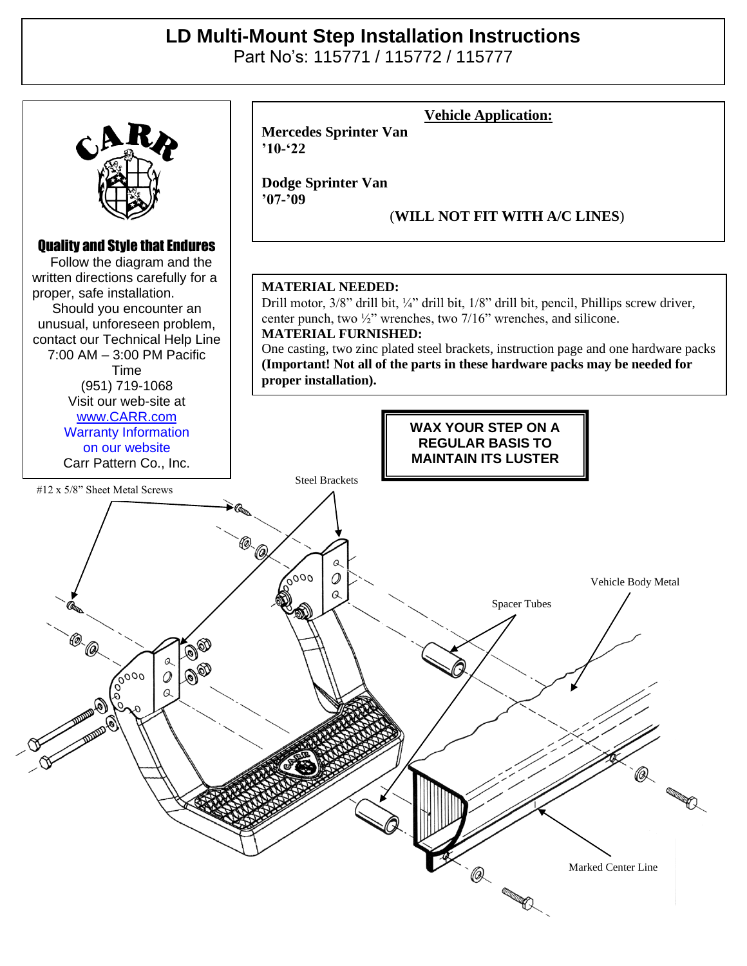## **LD Multi-Mount Step Installation Instructions**

Part No's: 115771 / 115772 / 115777